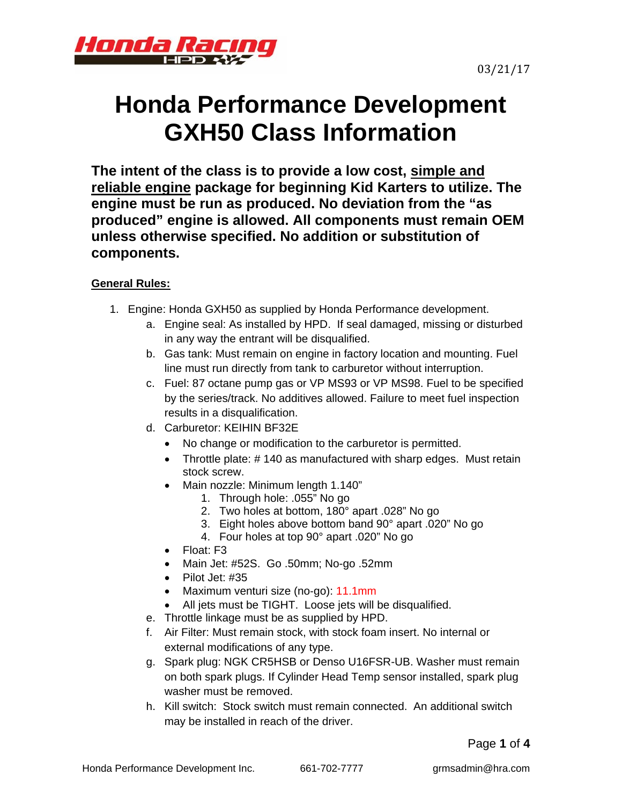



# **Honda Performance Development GXH50 Class Information**

**The intent of the class is to provide a low cost, simple and reliable engine package for beginning Kid Karters to utilize. The engine must be run as produced. No deviation from the "as produced" engine is allowed. All components must remain OEM unless otherwise specified. No addition or substitution of components.** 

# **General Rules:**

- 1. Engine: Honda GXH50 as supplied by Honda Performance development.
	- a. Engine seal: As installed by HPD. If seal damaged, missing or disturbed in any way the entrant will be disqualified.
	- b. Gas tank: Must remain on engine in factory location and mounting. Fuel line must run directly from tank to carburetor without interruption.
	- c. Fuel: 87 octane pump gas or VP MS93 or VP MS98. Fuel to be specified by the series/track. No additives allowed. Failure to meet fuel inspection results in a disqualification.
	- d. Carburetor: KEIHIN BF32E
		- No change or modification to the carburetor is permitted.
		- Throttle plate: #140 as manufactured with sharp edges. Must retain stock screw.
		- Main nozzle: Minimum length 1.140"
			- 1. Through hole: .055" No go
				- 2. Two holes at bottom, 180° apart .028" No go
				- 3. Eight holes above bottom band 90° apart .020" No go
			- 4. Four holes at top 90° apart .020" No go
		- Float: F3
		- Main Jet: #52S. Go .50mm; No-go .52mm
		- $\bullet$  Pilot Jet: #35
		- Maximum venturi size (no-go): 11.1mm
		- All jets must be TIGHT. Loose jets will be disqualified.
	- e. Throttle linkage must be as supplied by HPD.
	- f. Air Filter: Must remain stock, with stock foam insert. No internal or external modifications of any type.
	- g. Spark plug: NGK CR5HSB or Denso U16FSR-UB. Washer must remain on both spark plugs. If Cylinder Head Temp sensor installed, spark plug washer must be removed.
	- h. Kill switch: Stock switch must remain connected. An additional switch may be installed in reach of the driver.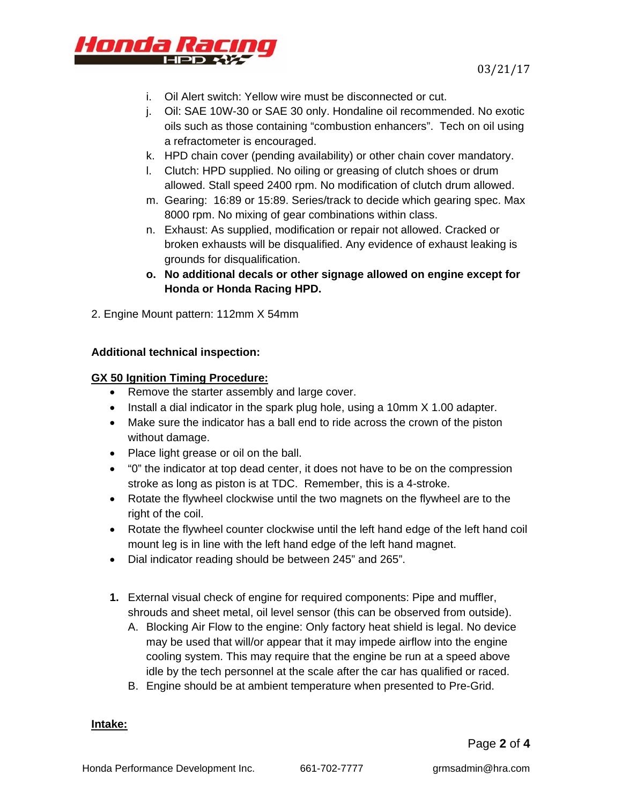

- i. Oil Alert switch: Yellow wire must be disconnected or cut.
- j. Oil: SAE 10W-30 or SAE 30 only. Hondaline oil recommended. No exotic oils such as those containing "combustion enhancers". Tech on oil using a refractometer is encouraged.
- k. HPD chain cover (pending availability) or other chain cover mandatory.
- l. Clutch: HPD supplied. No oiling or greasing of clutch shoes or drum allowed. Stall speed 2400 rpm. No modification of clutch drum allowed.
- m. Gearing: 16:89 or 15:89. Series/track to decide which gearing spec. Max 8000 rpm. No mixing of gear combinations within class.
- n. Exhaust: As supplied, modification or repair not allowed. Cracked or broken exhausts will be disqualified. Any evidence of exhaust leaking is grounds for disqualification.
- **o. No additional decals or other signage allowed on engine except for Honda or Honda Racing HPD.**
- 2. Engine Mount pattern: 112mm X 54mm

## **Additional technical inspection:**

## **GX 50 Ignition Timing Procedure:**

- Remove the starter assembly and large cover.
- $\bullet$  Install a dial indicator in the spark plug hole, using a 10mm X 1.00 adapter.
- Make sure the indicator has a ball end to ride across the crown of the piston without damage.
- Place light grease or oil on the ball.
- "0" the indicator at top dead center, it does not have to be on the compression stroke as long as piston is at TDC. Remember, this is a 4-stroke.
- Rotate the flywheel clockwise until the two magnets on the flywheel are to the right of the coil.
- Rotate the flywheel counter clockwise until the left hand edge of the left hand coil mount leg is in line with the left hand edge of the left hand magnet.
- Dial indicator reading should be between 245" and 265".
- **1.** External visual check of engine for required components: Pipe and muffler, shrouds and sheet metal, oil level sensor (this can be observed from outside).
	- A. Blocking Air Flow to the engine: Only factory heat shield is legal. No device may be used that will/or appear that it may impede airflow into the engine cooling system. This may require that the engine be run at a speed above idle by the tech personnel at the scale after the car has qualified or raced.
	- B. Engine should be at ambient temperature when presented to Pre-Grid.

#### **Intake:**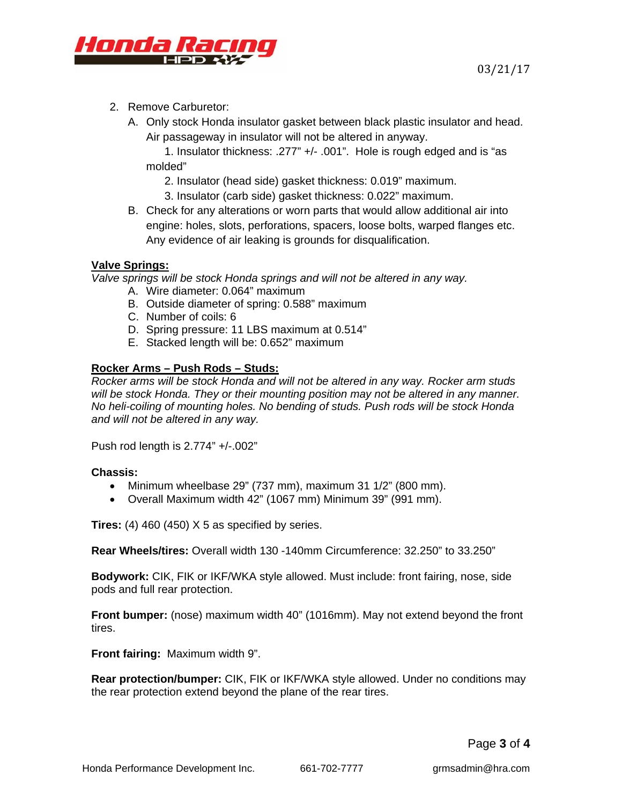

- 2. Remove Carburetor:
	- A. Only stock Honda insulator gasket between black plastic insulator and head. Air passageway in insulator will not be altered in anyway.

1. Insulator thickness: .277" +/- .001". Hole is rough edged and is "as molded"

- 2. Insulator (head side) gasket thickness: 0.019" maximum.
- 3. Insulator (carb side) gasket thickness: 0.022" maximum.
- B. Check for any alterations or worn parts that would allow additional air into engine: holes, slots, perforations, spacers, loose bolts, warped flanges etc. Any evidence of air leaking is grounds for disqualification.

## **Valve Springs:**

*Valve springs will be stock Honda springs and will not be altered in any way.* 

- A. Wire diameter: 0.064" maximum
- B. Outside diameter of spring: 0.588" maximum
- C. Number of coils: 6
- D. Spring pressure: 11 LBS maximum at 0.514"
- E. Stacked length will be: 0.652" maximum

## **Rocker Arms – Push Rods – Studs:**

*Rocker arms will be stock Honda and will not be altered in any way. Rocker arm studs will be stock Honda. They or their mounting position may not be altered in any manner. No heli-coiling of mounting holes. No bending of studs. Push rods will be stock Honda and will not be altered in any way.* 

Push rod length is 2.774" +/-.002"

## **Chassis:**

- $\bullet$  Minimum wheelbase 29" (737 mm), maximum 31 1/2" (800 mm).
- Overall Maximum width 42" (1067 mm) Minimum 39" (991 mm).

**Tires:** (4) 460 (450) X 5 as specified by series.

**Rear Wheels/tires:** Overall width 130 -140mm Circumference: 32.250" to 33.250"

**Bodywork:** CIK, FIK or IKF/WKA style allowed. Must include: front fairing, nose, side pods and full rear protection.

**Front bumper:** (nose) maximum width 40" (1016mm). May not extend beyond the front tires.

**Front fairing:** Maximum width 9".

**Rear protection/bumper:** CIK, FIK or IKF/WKA style allowed. Under no conditions may the rear protection extend beyond the plane of the rear tires.